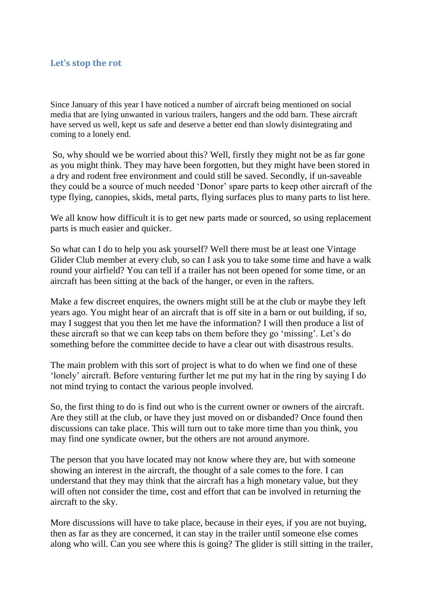## **Let's stop the rot**

Since January of this year I have noticed a number of aircraft being mentioned on social media that are lying unwanted in various trailers, hangers and the odd barn. These aircraft have served us well, kept us safe and deserve a better end than slowly disintegrating and coming to a lonely end.

So, why should we be worried about this? Well, firstly they might not be as far gone as you might think. They may have been forgotten, but they might have been stored in a dry and rodent free environment and could still be saved. Secondly, if un-saveable they could be a source of much needed 'Donor' spare parts to keep other aircraft of the type flying, canopies, skids, metal parts, flying surfaces plus to many parts to list here.

We all know how difficult it is to get new parts made or sourced, so using replacement parts is much easier and quicker.

So what can I do to help you ask yourself? Well there must be at least one Vintage Glider Club member at every club, so can I ask you to take some time and have a walk round your airfield? You can tell if a trailer has not been opened for some time, or an aircraft has been sitting at the back of the hanger, or even in the rafters.

Make a few discreet enquires, the owners might still be at the club or maybe they left years ago. You might hear of an aircraft that is off site in a barn or out building, if so, may I suggest that you then let me have the information? I will then produce a list of these aircraft so that we can keep tabs on them before they go 'missing'. Let's do something before the committee decide to have a clear out with disastrous results.

The main problem with this sort of project is what to do when we find one of these 'lonely' aircraft. Before venturing further let me put my hat in the ring by saying I do not mind trying to contact the various people involved.

So, the first thing to do is find out who is the current owner or owners of the aircraft. Are they still at the club, or have they just moved on or disbanded? Once found then discussions can take place. This will turn out to take more time than you think, you may find one syndicate owner, but the others are not around anymore.

The person that you have located may not know where they are, but with someone showing an interest in the aircraft, the thought of a sale comes to the fore. I can understand that they may think that the aircraft has a high monetary value, but they will often not consider the time, cost and effort that can be involved in returning the aircraft to the sky.

More discussions will have to take place, because in their eyes, if you are not buying, then as far as they are concerned, it can stay in the trailer until someone else comes along who will. Can you see where this is going? The glider is still sitting in the trailer,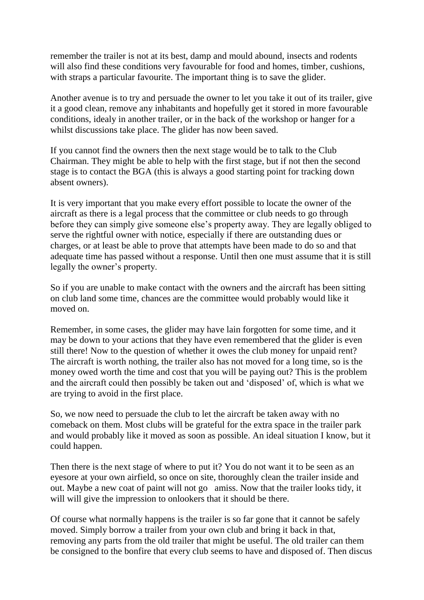remember the trailer is not at its best, damp and mould abound, insects and rodents will also find these conditions very favourable for food and homes, timber, cushions, with straps a particular favourite. The important thing is to save the glider.

Another avenue is to try and persuade the owner to let you take it out of its trailer, give it a good clean, remove any inhabitants and hopefully get it stored in more favourable conditions, idealy in another trailer, or in the back of the workshop or hanger for a whilst discussions take place. The glider has now been saved.

If you cannot find the owners then the next stage would be to talk to the Club Chairman. They might be able to help with the first stage, but if not then the second stage is to contact the BGA (this is always a good starting point for tracking down absent owners).

It is very important that you make every effort possible to locate the owner of the aircraft as there is a legal process that the committee or club needs to go through before they can simply give someone else's property away. They are legally obliged to serve the rightful owner with notice, especially if there are outstanding dues or charges, or at least be able to prove that attempts have been made to do so and that adequate time has passed without a response. Until then one must assume that it is still legally the owner's property.

So if you are unable to make contact with the owners and the aircraft has been sitting on club land some time, chances are the committee would probably would like it moved on.

Remember, in some cases, the glider may have lain forgotten for some time, and it may be down to your actions that they have even remembered that the glider is even still there! Now to the question of whether it owes the club money for unpaid rent? The aircraft is worth nothing, the trailer also has not moved for a long time, so is the money owed worth the time and cost that you will be paying out? This is the problem and the aircraft could then possibly be taken out and 'disposed' of, which is what we are trying to avoid in the first place.

So, we now need to persuade the club to let the aircraft be taken away with no comeback on them. Most clubs will be grateful for the extra space in the trailer park and would probably like it moved as soon as possible. An ideal situation I know, but it could happen.

Then there is the next stage of where to put it? You do not want it to be seen as an eyesore at your own airfield, so once on site, thoroughly clean the trailer inside and out. Maybe a new coat of paint will not go amiss. Now that the trailer looks tidy, it will will give the impression to onlookers that it should be there.

Of course what normally happens is the trailer is so far gone that it cannot be safely moved. Simply borrow a trailer from your own club and bring it back in that, removing any parts from the old trailer that might be useful. The old trailer can them be consigned to the bonfire that every club seems to have and disposed of. Then discus